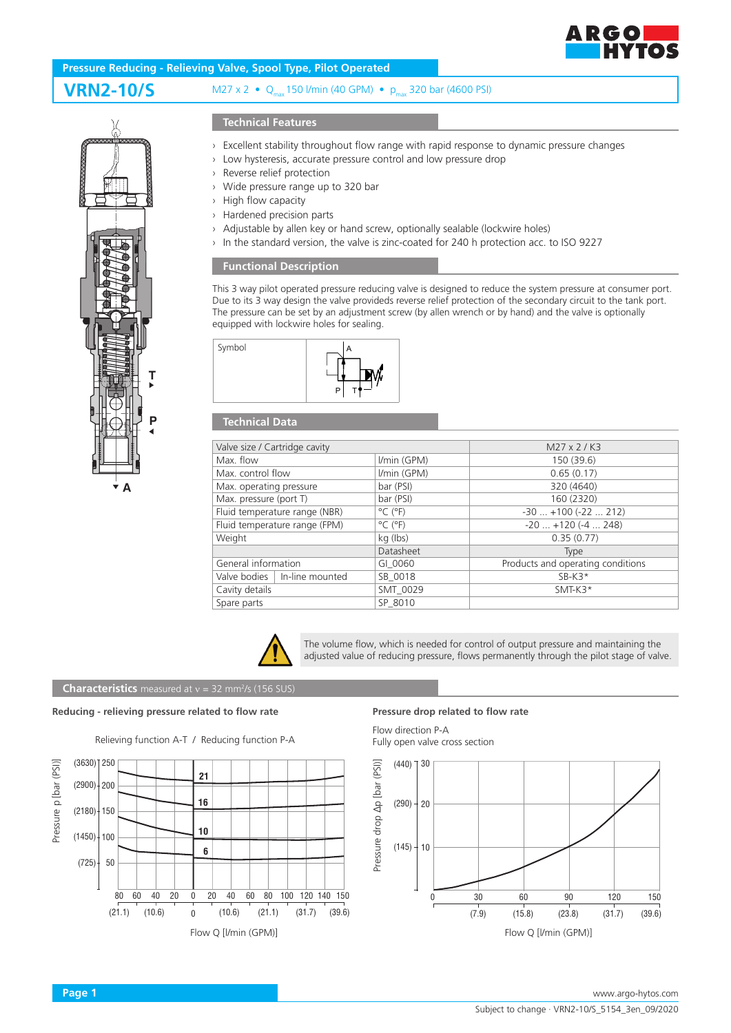

# **VRN2-10/S** M27 x 2 • Q<sub>max</sub> 150 Vmin (40 GPM) • p<sub>max</sub> 320 bar (4600 PSI) **Pressure Reducing - Relieving Valve, Spool Type, Pilot Operated**

# **A P T**

## **Technical Features**

- › Excellent stability throughout flow range with rapid response to dynamic pressure changes
- › Low hysteresis, accurate pressure control and low pressure drop
- Reverse relief protection
- › Wide pressure range up to 320 bar
- › High flow capacity
- › Hardened precision parts
- › Adjustable by allen key or hand screw, optionally sealable (lockwire holes)
- › In the standard version, the valve is zinc-coated for 240 h protection acc. to ISO 9227

### **Functional Description**

This 3 way pilot operated pressure reducing valve is designed to reduce the system pressure at consumer port. Due to its 3 way design the valve provideds reverse relief protection of the secondary circuit to the tank port. The pressure can be set by an adjustment screw (by allen wrench or by hand) and the valve is optionally equipped with lockwire holes for sealing.



### **Technical Data**

| Valve size / Cartridge cavity   |                              | M27 x 2 / K3                      |
|---------------------------------|------------------------------|-----------------------------------|
| Max. flow                       | I/min (GPM)                  | 150 (39.6)                        |
| Max. control flow               | I/min (GPM)                  | 0.65(0.17)                        |
| Max. operating pressure         | bar (PSI)                    | 320 (4640)                        |
| Max. pressure (port T)          | bar (PSI)                    | 160 (2320)                        |
| Fluid temperature range (NBR)   | $^{\circ}$ C ( $^{\circ}$ F) | $-30+100(-22212)$                 |
| Fluid temperature range (FPM)   | $^{\circ}$ C ( $^{\circ}$ F) | $-20$ $+120$ ( $-4$ 248)          |
| Weight                          | kg (lbs)                     | 0.35(0.77)                        |
|                                 | Datasheet                    | <b>Type</b>                       |
| General information             | GI 0060                      | Products and operating conditions |
| Valve bodies<br>In-line mounted | SB 0018                      | $SB-K3*$                          |
| Cavity details                  | SMT 0029                     | SMT-K3*                           |
| Spare parts                     | SP 8010                      |                                   |



The volume flow, which is needed for control of output pressure and maintaining the adjusted value of reducing pressure, flows permanently through the pilot stage of valve.

### **Characteristics** measured at v = 32 mm<sup>2</sup>/s (156 SUS)

### **Reducing - relieving pressure related to flow rate Pressure drop related to flow rate**



Flow direction P-A Fully open valve cross section